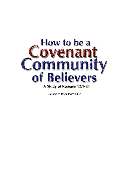

Prepared by Dr Andrew Corbett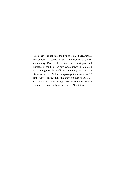The believer is not called to live an isolated life. Rather, the believer is called to be a member of a Christcommunity. One of the clearest and most profound passages in the Bible on how God expects His children to live together in a Christ-community is found in Romans 12:9-21. Within this passage there are some 27 imperatives (instructions that *must* be carried out). By examining and considering these imperatives we can learn to live more fully as the Church God intended.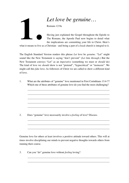

## *Let love be genuine…*

Romans 12:9a

Having just explained the Gospel throughout the Epistle to The Romans, the Apostle Paul now begins to detail what the implications are committing your life to Christ. Here's

what it means to live as a Christian - and being a part of a local church is integral to it.

The English Standard Version renders this phrase *Let* love be *genuine*. "Let" might sound like the New Testament is saying "don't prevent" (*Let him through*.) But the New Testament conveys "Let" as an *imperative* (something we must or *should* do) The kind of love we *should* show is not "pretend", "hypocritical" or "insincere". We might call this *fake* love. As followers of Christ we are called to show a different kind of love.

1. What are the attributes of "genuine" love mentioned in First Corinthians 13:4-7? Which one of these attributes of genuine love do you find the most challenging?

2. Does "genuine" love necessarily involve a *feeling* of love? Discuss.

Genuine love for others at least involves a positive attitude toward others. This will at times involve disciplining our minds to prevent negative thoughts towards others from running their course.

3. Can you "do" genuine love without *feeling* loving?